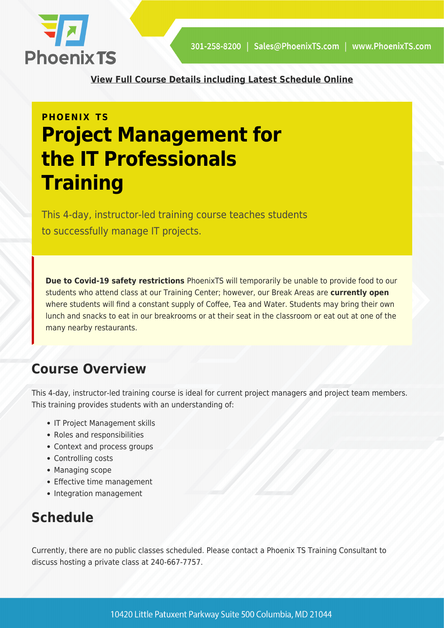

**[View Full Course Details including Latest Schedule Online](https://phoenixts.com/training-courses/project-management-it-professional/)**

# **PHOENIX TS Project Management for the IT Professionals Training**

This 4-day, instructor-led training course teaches students to successfully manage IT projects.

**Due to Covid-19 safety restrictions** PhoenixTS will temporarily be unable to provide food to our students who attend class at our Training Center; however, our Break Areas are **currently open** where students will find a constant supply of Coffee, Tea and Water. Students may bring their own lunch and snacks to eat in our breakrooms or at their seat in the classroom or eat out at one of the many nearby restaurants.

# **Course Overview**

This 4-day, instructor-led training course is ideal for current project managers and project team members. This training provides students with an understanding of:

- IT Project Management skills
- Roles and responsibilities
- Context and process groups
- Controlling costs
- Managing scope
- Effective time management
- Integration management

# **Schedule**

Currently, there are no public classes scheduled. Please contact a Phoenix TS Training Consultant to discuss hosting a private class at 240-667-7757.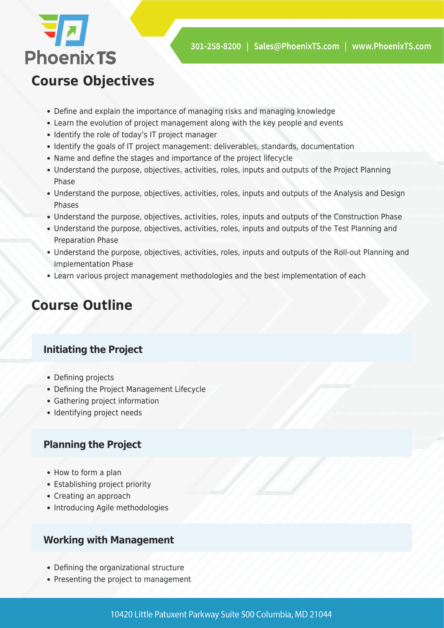

# **Course Objectives**

- Define and explain the importance of managing risks and managing knowledge
- Learn the evolution of project management along with the key people and events
- Identify the role of today's IT project manager
- Identify the goals of IT project management: deliverables, standards, documentation
- Name and define the stages and importance of the project lifecycle
- Understand the purpose, objectives, activities, roles, inputs and outputs of the Project Planning Phase
- Understand the purpose, objectives, activities, roles, inputs and outputs of the Analysis and Design Phases
- Understand the purpose, objectives, activities, roles, inputs and outputs of the Construction Phase
- Understand the purpose, objectives, activities, roles, inputs and outputs of the Test Planning and Preparation Phase
- Understand the purpose, objectives, activities, roles, inputs and outputs of the Roll-out Planning and Implementation Phase
- Learn various project management methodologies and the best implementation of each

# **Course Outline**

# **Initiating the Project**

- Defining projects
- Defining the Project Management Lifecycle
- Gathering project information
- Identifying project needs

## **Planning the Project**

- How to form a plan
- Establishing project priority
- Creating an approach
- Introducing Agile methodologies

## **Working with Management**

- Defining the organizational structure
- Presenting the project to management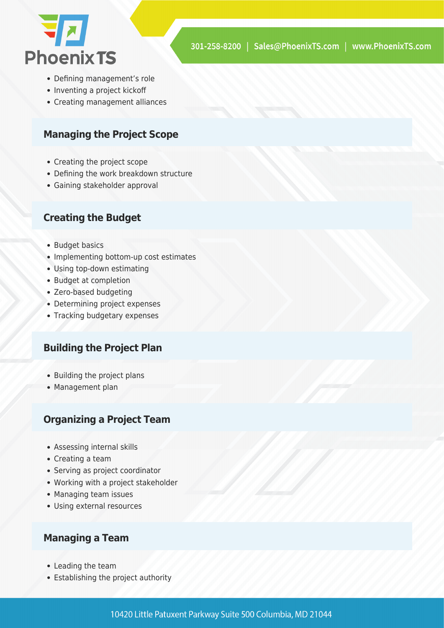

- Defining management's role
- Inventing a project kickoff
- Creating management alliances

#### **Managing the Project Scope**

- Creating the project scope
- Defining the work breakdown structure
- Gaining stakeholder approval

#### **Creating the Budget**

- Budget basics
- Implementing bottom-up cost estimates
- Using top-down estimating
- Budget at completion
- Zero-based budgeting
- Determining project expenses
- Tracking budgetary expenses

## **Building the Project Plan**

- Building the project plans
- Management plan

#### **Organizing a Project Team**

- Assessing internal skills
- Creating a team
- Serving as project coordinator
- Working with a project stakeholder
- Managing team issues
- Using external resources

### **Managing a Team**

- Leading the team
- Establishing the project authority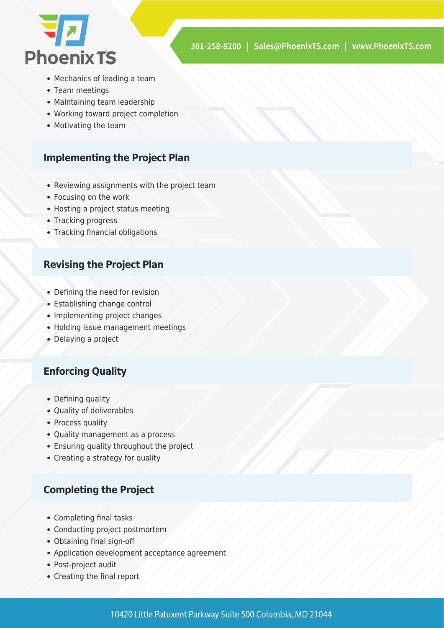

- Mechanics of leading a team
- Team meetings
- Maintaining team leadership
- Working toward project completion
- Motivating the team

#### **Implementing the Project Plan**

- Reviewing assignments with the project team
- Focusing on the work
- Hosting a project status meeting
- Tracking progress
- Tracking financial obligations

#### **Revising the Project Plan**

- Defining the need for revision
- Establishing change control
- Implementing project changes
- Holding issue management meetings
- Delaying a project

### **Enforcing Quality**

- Defining quality
- Quality of deliverables
- Process quality
- Quality management as a process
- Ensuring quality throughout the project
- Creating a strategy for quality

### **Completing the Project**

- Completing final tasks
- Conducting project postmortem
- Obtaining final sign-off
- Application development acceptance agreement
- Post-project audit
- Creating the final report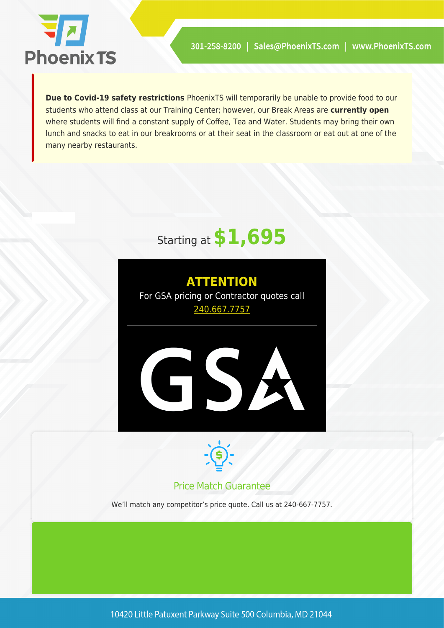

**Due to Covid-19 safety restrictions** PhoenixTS will temporarily be unable to provide food to our students who attend class at our Training Center; however, our Break Areas are **currently open** where students will find a constant supply of Coffee, Tea and Water. Students may bring their own lunch and snacks to eat in our breakrooms or at their seat in the classroom or eat out at one of the many nearby restaurants.

# Starting at **\$1,695**





## Price Match Guarantee

We'll match any competitor's price quote. Call us at 240-667-7757.

10420 Little Patuxent Parkway Suite 500 Columbia, MD 21044